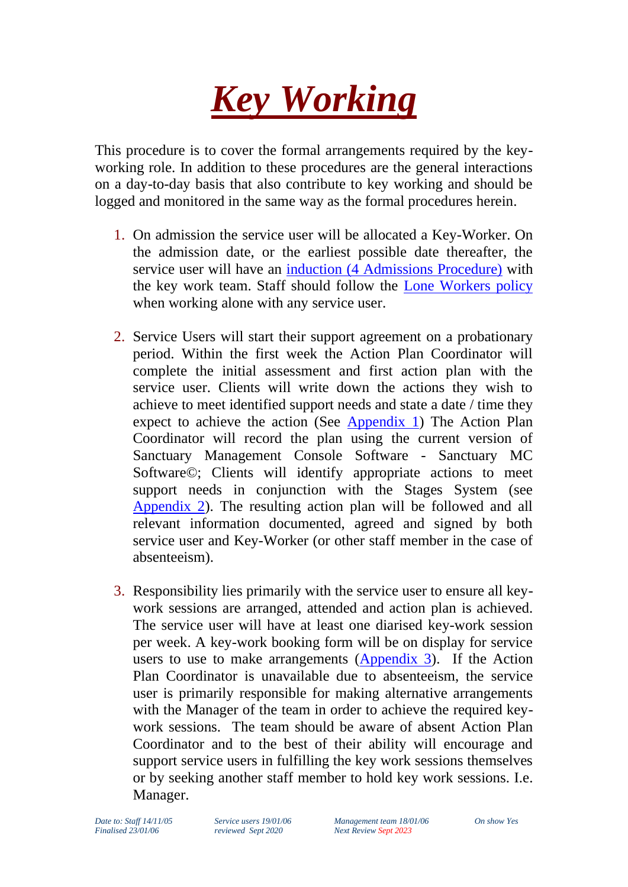

This procedure is to cover the formal arrangements required by the keyworking role. In addition to these procedures are the general interactions on a day-to-day basis that also contribute to key working and should be logged and monitored in the same way as the formal procedures herein.

- 1. On admission the service user will be allocated a Key-Worker. On the admission date, or the earliest possible date thereafter, the service user will have an induction [\(4 Admissions Procedure\)](file://///sanctuarytrust.local/tst-dfs/tst/Level2/4%20Operations/Policy%20&%20Procedure/2%20Under%20Review/02%20Admissions%20and%20Departures%20Policy.doc) with the key work team. Staff should follow the [Lone Workers policy](file://///sanctuarytrust.local/tst-dfs/tst/Level2/4%20Operations/Policy%20&%20Procedure/1%20Reviewed/1%20Service%20delivery/Lone%20Worker%20Policy%20&%20%20Procedure.doc) when working alone with any service user.
- 2. Service Users will start their support agreement on a probationary period. Within the first week the Action Plan Coordinator will complete the initial assessment and first action plan with the service user. Clients will write down the actions they wish to achieve to meet identified support needs and state a date / time they expect to achieve the action (See [Appendix 1\)](#page-5-0) The Action Plan Coordinator will record the plan using the current version of Sanctuary Management Console Software - Sanctuary MC Software©; Clients will identify appropriate actions to meet support needs in conjunction with the Stages System (see [Appendix 2\)](#page-5-1). The resulting action plan will be followed and all relevant information documented, agreed and signed by both service user and Key-Worker (or other staff member in the case of absenteeism).
- 3. Responsibility lies primarily with the service user to ensure all keywork sessions are arranged, attended and action plan is achieved. The service user will have at least one diarised key-work session per week. A key-work booking form will be on display for service users to use to make arrangements [\(Appendix 3\)](#page-8-0). If the Action Plan Coordinator is unavailable due to absenteeism, the service user is primarily responsible for making alternative arrangements with the Manager of the team in order to achieve the required keywork sessions. The team should be aware of absent Action Plan Coordinator and to the best of their ability will encourage and support service users in fulfilling the key work sessions themselves or by seeking another staff member to hold key work sessions. I.e. Manager.

*Date to: Staff 14/11/05 Service users 19/01/06 Management team 18/01/06 On show Yes Finalised 23/01/06 reviewed Sept 2020 Next Review Sept 2023*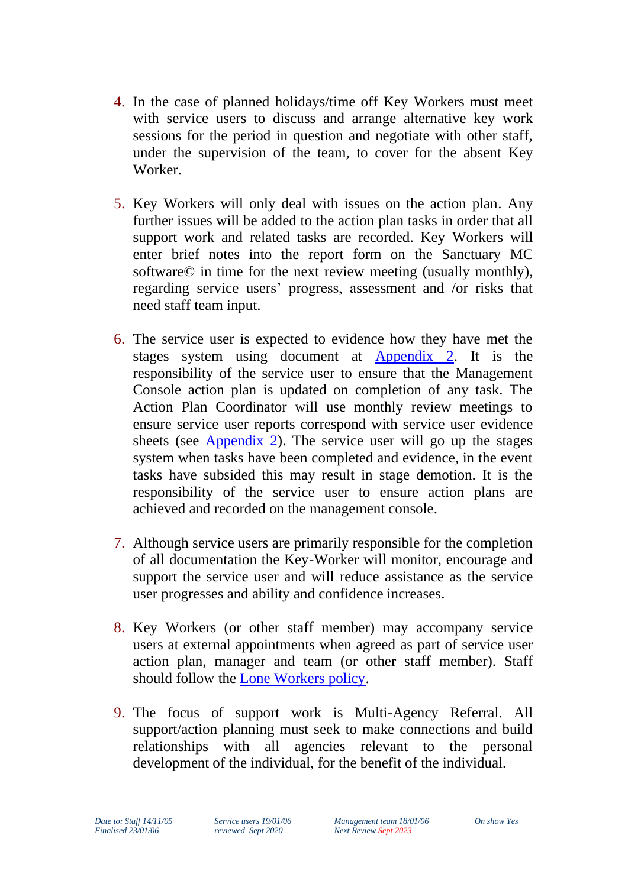- 4. In the case of planned holidays/time off Key Workers must meet with service users to discuss and arrange alternative key work sessions for the period in question and negotiate with other staff, under the supervision of the team, to cover for the absent Key Worker.
- 5. Key Workers will only deal with issues on the action plan. Any further issues will be added to the action plan tasks in order that all support work and related tasks are recorded. Key Workers will enter brief notes into the report form on the Sanctuary MC software© in time for the next review meeting (usually monthly), regarding service users' progress, assessment and /or risks that need staff team input.
- 6. The service user is expected to evidence how they have met the stages system using document at [Appendix 2.](#page-5-1) It is the responsibility of the service user to ensure that the Management Console action plan is updated on completion of any task. The Action Plan Coordinator will use monthly review meetings to ensure service user reports correspond with service user evidence sheets (see [Appendix 2\)](#page-5-1). The service user will go up the stages system when tasks have been completed and evidence, in the event tasks have subsided this may result in stage demotion. It is the responsibility of the service user to ensure action plans are achieved and recorded on the management console.
- 7. Although service users are primarily responsible for the completion of all documentation the Key-Worker will monitor, encourage and support the service user and will reduce assistance as the service user progresses and ability and confidence increases.
- 8. Key Workers (or other staff member) may accompany service users at external appointments when agreed as part of service user action plan, manager and team (or other staff member). Staff should follow the [Lone Workers policy.](file://///sanctuarytrust.local/tst-dfs/tst/Level2/4%20Operations/Policy%20&%20Procedure/1%20Reviewed/1%20Service%20delivery/Lone%20Worker%20Policy%20&%20%20Procedure.doc)
- 9. The focus of support work is Multi-Agency Referral. All support/action planning must seek to make connections and build relationships with all agencies relevant to the personal development of the individual, for the benefit of the individual.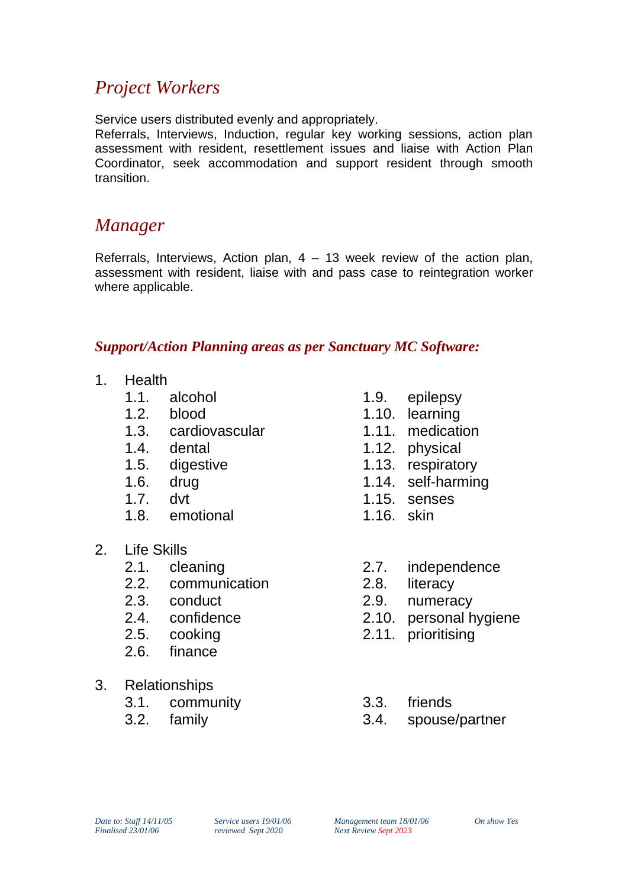### *Project Workers*

Service users distributed evenly and appropriately.

Referrals, Interviews, Induction, regular key working sessions, action plan assessment with resident, resettlement issues and liaise with Action Plan Coordinator, seek accommodation and support resident through smooth transition.

### *Manager*

Referrals, Interviews, Action plan,  $4 - 13$  week review of the action plan, assessment with resident, liaise with and pass case to reintegration worker where applicable.

### *Support/Action Planning areas as per Sanctuary MC Software:*

- 1. Health
	- 1.1. alcohol
	- 1.2. blood
	- 1.3. cardiovascular
	- 1.4. dental
	- 1.5. digestive
	- 1.6. drug
	- 1.7. dvt
	- 1.8. emotional
- 2. Life Skills
	- 2.1. cleaning
	- 2.2. communication
	- 2.3. conduct
	- 2.4. confidence
	- 2.5. cooking
	- 2.6. finance
- 3. Relationships
	- 3.1. community
	- 3.2. family
- 1.9. epilepsy
- 1.10. learning
- 1.11. medication
- 1.12. physical
- 1.13. respiratory
- 1.14. self-harming
- 1.15. senses
- 1.16. skin
- 2.7. independence
- 2.8. literacy
- 2.9. numeracy
- 2.10. personal hygiene
- 2.11. prioritising
- 3.3. friends
- 3.4. spouse/partner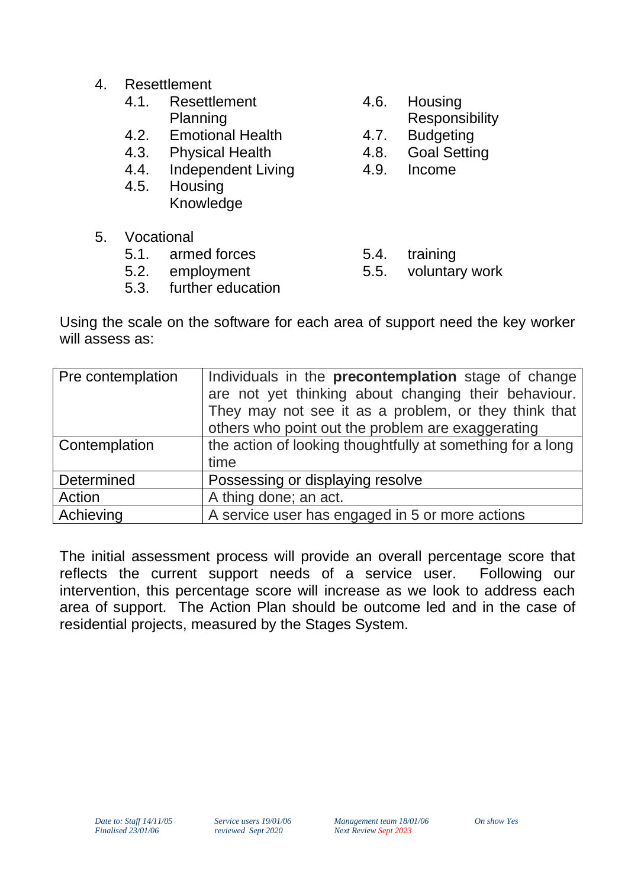- 4. Resettlement
	- 4.1. Resettlement Planning
	- 4.2. Emotional Health
	- 4.3. Physical Health
	- 4.4. Independent Living
	- 4.5. Housing Knowledge
- 5. Vocational
	- 5.1. armed forces
	- 5.2. employment
	- 5.3. further education
- 4.6. Housing
	- **Responsibility**
- 4.7. Budgeting
- 4.8. Goal Setting
- 4.9. Income
- 5.4. training
- 5.5. voluntary work

Using the scale on the software for each area of support need the key worker will assess as:

| Pre contemplation | Individuals in the <b>precontemplation</b> stage of change<br>are not yet thinking about changing their behaviour.<br>They may not see it as a problem, or they think that<br>others who point out the problem are exaggerating |
|-------------------|---------------------------------------------------------------------------------------------------------------------------------------------------------------------------------------------------------------------------------|
| Contemplation     | the action of looking thoughtfully at something for a long<br>time                                                                                                                                                              |
| Determined        | Possessing or displaying resolve                                                                                                                                                                                                |
| Action            | A thing done; an act.                                                                                                                                                                                                           |
| Achieving         | A service user has engaged in 5 or more actions                                                                                                                                                                                 |

The initial assessment process will provide an overall percentage score that reflects the current support needs of a service user. Following our intervention, this percentage score will increase as we look to address each area of support. The Action Plan should be outcome led and in the case of residential projects, measured by the Stages System.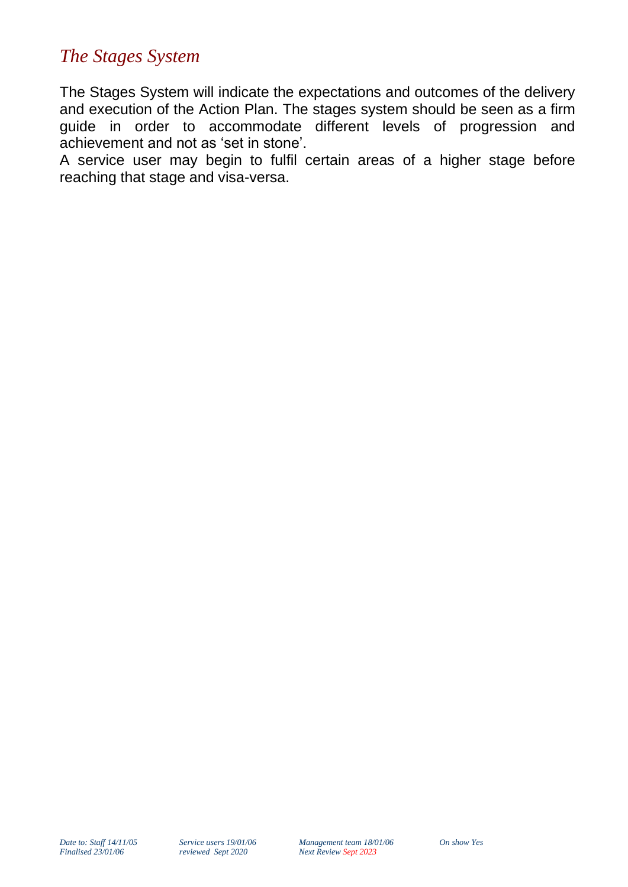### *The Stages System*

The Stages System will indicate the expectations and outcomes of the delivery and execution of the Action Plan. The stages system should be seen as a firm guide in order to accommodate different levels of progression and achievement and not as 'set in stone'.

A service user may begin to fulfil certain areas of a higher stage before reaching that stage and visa-versa.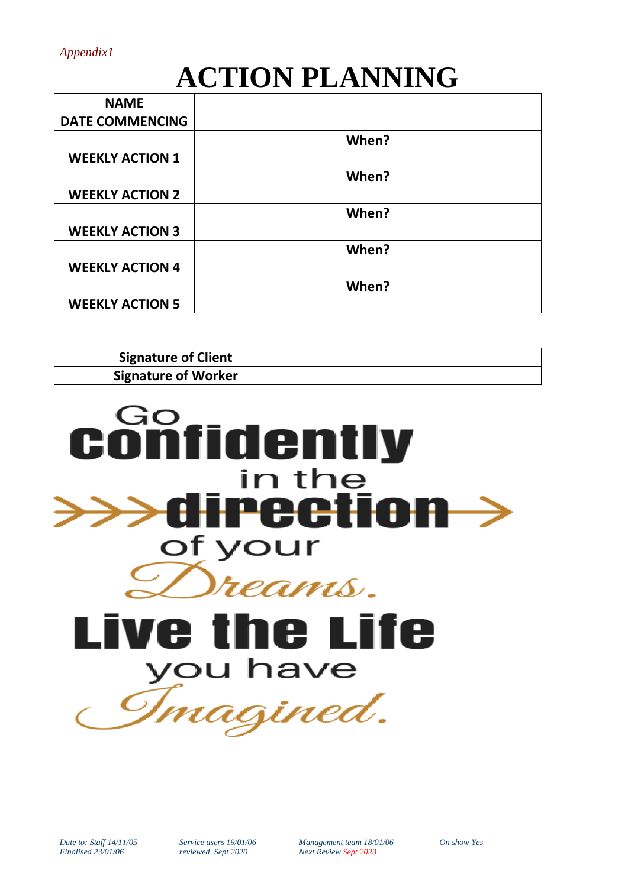# **ACTION PLANNING**

<span id="page-5-0"></span>

| <b>NAME</b>            |       |
|------------------------|-------|
| <b>DATE COMMENCING</b> |       |
|                        | When? |
| <b>WEEKLY ACTION 1</b> |       |
|                        | When? |
| <b>WEEKLY ACTION 2</b> |       |
|                        | When? |
| <b>WEEKLY ACTION 3</b> |       |
|                        | When? |
| <b>WEEKLY ACTION 4</b> |       |
|                        | When? |
| <b>WEEKLY ACTION 5</b> |       |

| <b>Signature of Client</b> |  |
|----------------------------|--|
| <b>Signature of Worker</b> |  |

<span id="page-5-1"></span>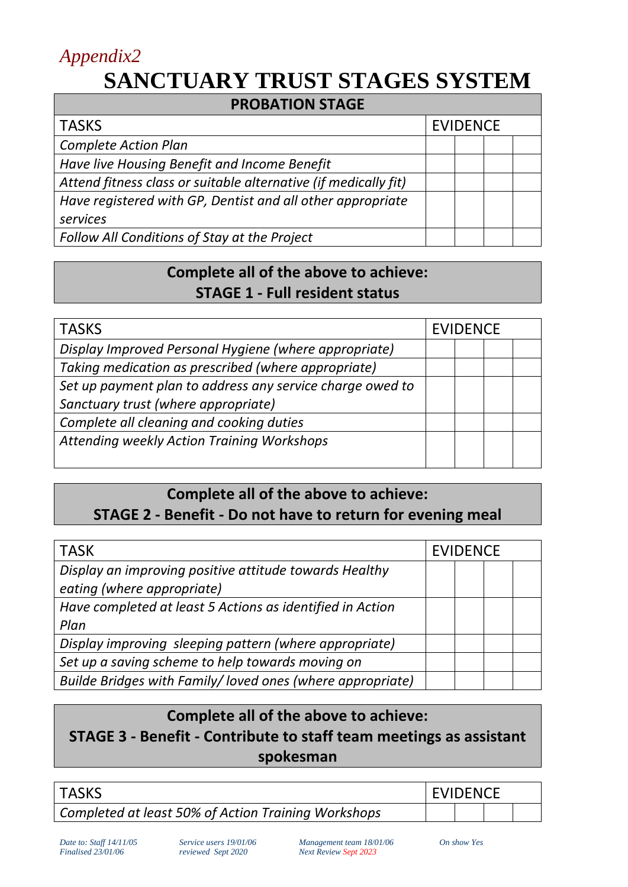# *Appendix2* **SANCTUARY TRUST STAGES SYSTEM**

| <b>PROBATION STAGE</b>                                          |                 |  |  |  |
|-----------------------------------------------------------------|-----------------|--|--|--|
| <b>TASKS</b>                                                    | <b>EVIDENCE</b> |  |  |  |
| <b>Complete Action Plan</b>                                     |                 |  |  |  |
| Have live Housing Benefit and Income Benefit                    |                 |  |  |  |
| Attend fitness class or suitable alternative (if medically fit) |                 |  |  |  |
| Have registered with GP, Dentist and all other appropriate      |                 |  |  |  |
| services                                                        |                 |  |  |  |
| Follow All Conditions of Stay at the Project                    |                 |  |  |  |

### **Complete all of the above to achieve: STAGE 1 - Full resident status**

| <b>TASKS</b>                                              |  | <b>EVIDENCE</b> |  |  |
|-----------------------------------------------------------|--|-----------------|--|--|
| Display Improved Personal Hygiene (where appropriate)     |  |                 |  |  |
| Taking medication as prescribed (where appropriate)       |  |                 |  |  |
| Set up payment plan to address any service charge owed to |  |                 |  |  |
| Sanctuary trust (where appropriate)                       |  |                 |  |  |
| Complete all cleaning and cooking duties                  |  |                 |  |  |
| Attending weekly Action Training Workshops                |  |                 |  |  |
|                                                           |  |                 |  |  |

### **Complete all of the above to achieve: STAGE 2 - Benefit - Do not have to return for evening meal**

| <b>TASK</b>                                                                          | <b>EVIDENCE</b> |  |  |
|--------------------------------------------------------------------------------------|-----------------|--|--|
| Display an improving positive attitude towards Healthy<br>eating (where appropriate) |                 |  |  |
| Have completed at least 5 Actions as identified in Action<br>Plan                    |                 |  |  |
| Display improving sleeping pattern (where appropriate)                               |                 |  |  |
| Set up a saving scheme to help towards moving on                                     |                 |  |  |
| Builde Bridges with Family/loved ones (where appropriate)                            |                 |  |  |

### **Complete all of the above to achieve: STAGE 3 - Benefit - Contribute to staff team meetings as assistant spokesman**

| <b>TASKS</b>                                        | <b>LEVIDENCE</b> |  |  |  |
|-----------------------------------------------------|------------------|--|--|--|
| Completed at least 50% of Action Training Workshops |                  |  |  |  |

*Date to: Staff 14/11/05 Service users 19/01/06 Management team 18/01/06 On show Yes Finalised 23/01/06 reviewed Sept 2020 Next Review Sept 2023*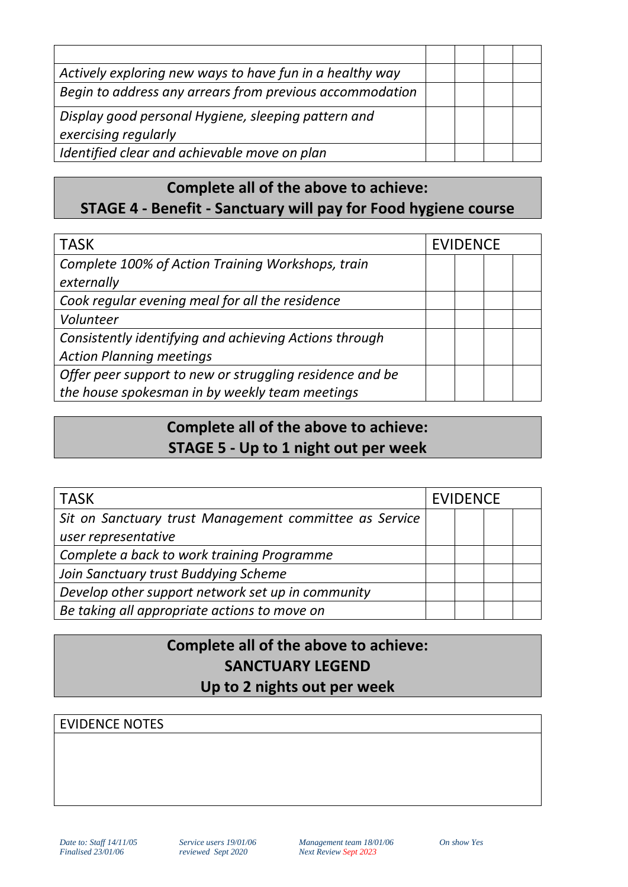| Actively exploring new ways to have fun in a healthy way |  |  |
|----------------------------------------------------------|--|--|
| Begin to address any arrears from previous accommodation |  |  |
| Display good personal Hygiene, sleeping pattern and      |  |  |
| exercising regularly                                     |  |  |
| Identified clear and achievable move on plan             |  |  |

### **Complete all of the above to achieve: STAGE 4 - Benefit - Sanctuary will pay for Food hygiene course**

| <b>TASK</b>                                              | <b>EVIDENCE</b> |  |  |  |
|----------------------------------------------------------|-----------------|--|--|--|
| Complete 100% of Action Training Workshops, train        |                 |  |  |  |
| externally                                               |                 |  |  |  |
| Cook regular evening meal for all the residence          |                 |  |  |  |
| Volunteer                                                |                 |  |  |  |
| Consistently identifying and achieving Actions through   |                 |  |  |  |
| <b>Action Planning meetings</b>                          |                 |  |  |  |
| Offer peer support to new or struggling residence and be |                 |  |  |  |
| the house spokesman in by weekly team meetings           |                 |  |  |  |

### **Complete all of the above to achieve: STAGE 5 - Up to 1 night out per week**

| <b>TASK</b>                                            | <b>EVIDENCE</b> |  |  |  |
|--------------------------------------------------------|-----------------|--|--|--|
| Sit on Sanctuary trust Management committee as Service |                 |  |  |  |
| user representative                                    |                 |  |  |  |
| Complete a back to work training Programme             |                 |  |  |  |
| Join Sanctuary trust Buddying Scheme                   |                 |  |  |  |
| Develop other support network set up in community      |                 |  |  |  |
| Be taking all appropriate actions to move on           |                 |  |  |  |

### **Complete all of the above to achieve: SANCTUARY LEGEND Up to 2 nights out per week**

### EVIDENCE NOTES